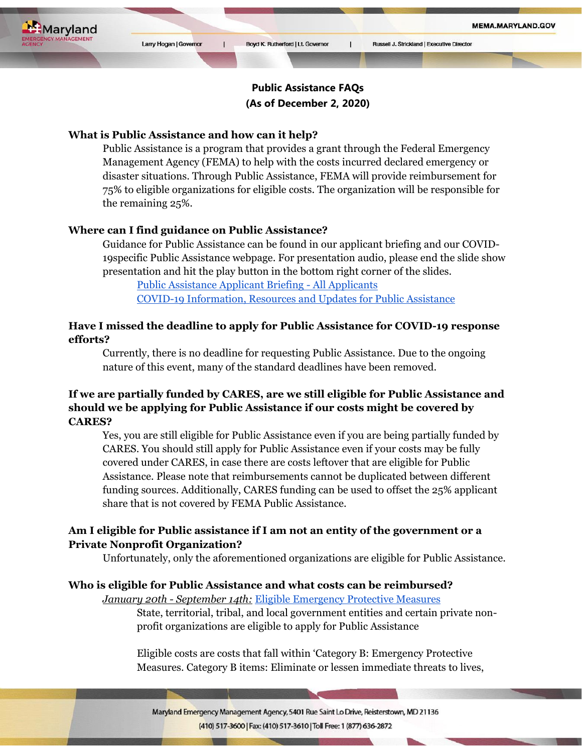

Boyd K. Rutherford | Lt. Governor

Russell J. Strickland | Executive Director

# **Public Assistance FAQs (As of December 2, 2020)**

## **What is Public Assistance and how can it help?**

Public Assistance is a program that provides a grant through the Federal Emergency Management Agency (FEMA) to help with the costs incurred declared emergency or disaster situations. Through Public Assistance, FEMA will provide reimbursement for 75% to eligible organizations for eligible costs. The organization will be responsible for the remaining 25%.

## **Where can I find guidance on Public Assistance?**

Guidance for Public Assistance can be found in our applicant briefing and our COVID-19specific Public Assistance webpage. For presentation audio, please end the slide show presentation and hit the play button in the bottom right corner of the slides.

[Public Assistance Applicant Briefing -](https://mema.maryland.gov/community/Documents/COVID-19-Applicant-Briefing.pdf) All Applicants [COVID-19 Information, Resources and Updates for Public Assistance](https://mema.maryland.gov/community/Pages/Public-Assistance-Program-Coronavirus-Info.aspx)

# **Have I missed the deadline to apply for Public Assistance for COVID-19 response efforts?**

Currently, there is no deadline for requesting Public Assistance. Due to the ongoing nature of this event, many of the standard deadlines have been removed.

# **If we are partially funded by CARES, are we still eligible for Public Assistance and should we be applying for Public Assistance if our costs might be covered by CARES?**

Yes, you are still eligible for Public Assistance even if you are being partially funded by CARES. You should still apply for Public Assistance even if your costs may be fully covered under CARES, in case there are costs leftover that are eligible for Public Assistance. Please note that reimbursements cannot be duplicated between different funding sources. Additionally, CARES funding can be used to offset the 25% applicant share that is not covered by FEMA Public Assistance.

# **Am I eligible for Public assistance if I am not an entity of the government or a Private Nonprofit Organization?**

Unfortunately, only the aforementioned organizations are eligible for Public Assistance.

## **Who is eligible for Public Assistance and what costs can be reimbursed?**

*January 20th - September 14th:* [Eligible Emergency Protective Measures](https://mema.maryland.gov/community/Documents/COVID-19_Eligible_Emergency_Protective_Measures_Fact_Sheet_(FINAL)(3.19.20).pdf)

State, territorial, tribal, and local government entities and certain private nonprofit organizations are eligible to apply for Public Assistance

Eligible costs are costs that fall within 'Category B: Emergency Protective Measures. Category B items: Eliminate or lessen immediate threats to lives,

Maryland Emergency Management Agency, 5401 Rue Saint Lo Drive, Reisterstown, MD 21136 (410) 517-3600 | Fax: (410) 517-3610 | Toll Free: 1 (877) 636-2872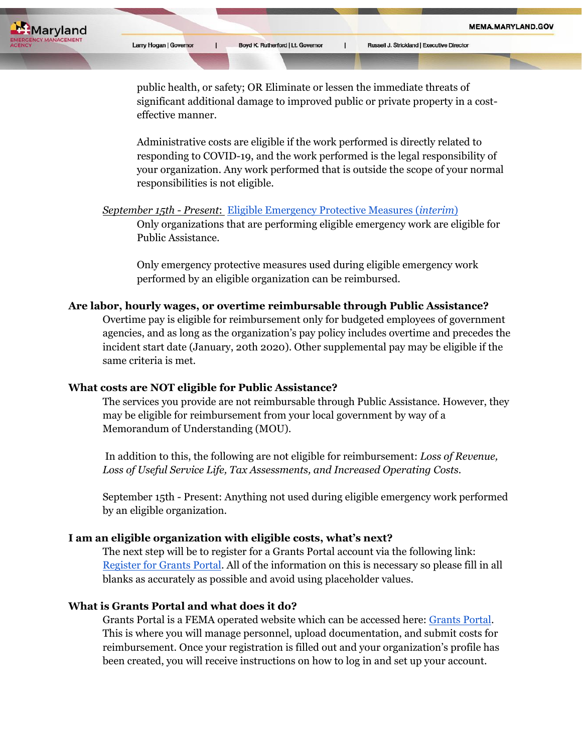Marvland

Boyd K. Rutherford | Lt. Governor

**Russell J. Strickland | Executive Director** 

public health, or safety; OR Eliminate or lessen the immediate threats of significant additional damage to improved public or private property in a costeffective manner.

Administrative costs are eligible if the work performed is directly related to responding to COVID-19, and the work performed is the legal responsibility of your organization. Any work performed that is outside the scope of your normal responsibilities is not eligible.

#### *September 15th - Present*: [Eligible Emergency Protective Measures \(](https://mema.maryland.gov/community/Documents/FP-104-009-19-PA-Eligibility-Policy-for-COVID_FINAL.9-1-20-signed.pdf)*[interim](https://mema.maryland.gov/community/Documents/FP-104-009-19-PA-Eligibility-Policy-for-COVID_FINAL.9-1-20-signed.pdf)*[\)](https://mema.maryland.gov/community/Documents/FP-104-009-19-PA-Eligibility-Policy-for-COVID_FINAL.9-1-20-signed.pdf)

Only organizations that are performing eligible emergency work are eligible for Public Assistance.

Only emergency protective measures used during eligible emergency work performed by an eligible organization can be reimbursed.

### **Are labor, hourly wages, or overtime reimbursable through Public Assistance?**

Overtime pay is eligible for reimbursement only for budgeted employees of government agencies, and as long as the organization's pay policy includes overtime and precedes the incident start date (January, 20th 2020). Other supplemental pay may be eligible if the same criteria is met.

#### **What costs are NOT eligible for Public Assistance?**

The services you provide are not reimbursable through Public Assistance. However, they may be eligible for reimbursement from your local government by way of a Memorandum of Understanding (MOU).

In addition to this, the following are not eligible for reimbursement: *Loss of Revenue, Loss of Useful Service Life, Tax Assessments, and Increased Operating Costs.*

September 15th - Present: Anything not used during eligible emergency work performed by an eligible organization.

### **I am an eligible organization with eligible costs, what's next?**

The next step will be to register for a Grants Portal account via the following link: [Register for Grants Portal.](https://docs.google.com/forms/d/e/1FAIpQLSfQ5E3EZiCKxFuiJaIUZjL28FefQ2-F_DFH9Uy5j7uJXxUhHA/viewform?vc=0&c=0&w=1&usp=mail_form_link) All of the information on this is necessary so please fill in all blanks as accurately as possible and avoid using placeholder values.

## **What is Grants Portal and what does it do?**

Grants Portal is a FEMA operated website which can be accessed here: [Grants Portal.](https://grantee.fema.gov/) This is where you will manage personnel, upload documentation, and submit costs for reimbursement. Once your registration is filled out and your organization's profile has been created, you will receive instructions on how to log in and set up your account.